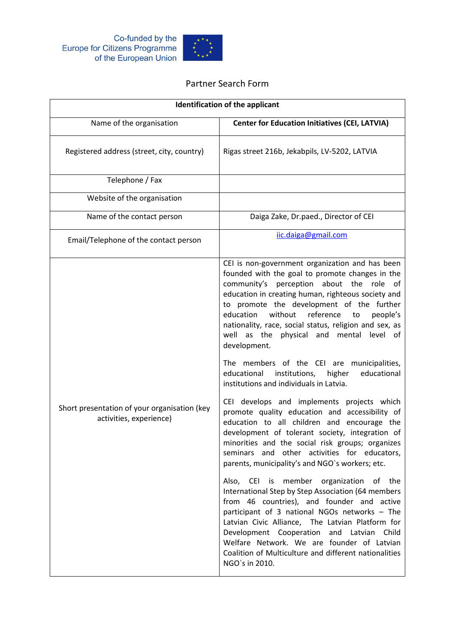



## Partner Search Form

| <b>Identification of the applicant</b>                                  |                                                                                                                                                                                                                                                                                                                                                                                                                                                                                                                                                                                                                                                                                                                                                                                    |
|-------------------------------------------------------------------------|------------------------------------------------------------------------------------------------------------------------------------------------------------------------------------------------------------------------------------------------------------------------------------------------------------------------------------------------------------------------------------------------------------------------------------------------------------------------------------------------------------------------------------------------------------------------------------------------------------------------------------------------------------------------------------------------------------------------------------------------------------------------------------|
| Name of the organisation                                                | <b>Center for Education Initiatives (CEI, LATVIA)</b>                                                                                                                                                                                                                                                                                                                                                                                                                                                                                                                                                                                                                                                                                                                              |
| Registered address (street, city, country)                              | Rigas street 216b, Jekabpils, LV-5202, LATVIA                                                                                                                                                                                                                                                                                                                                                                                                                                                                                                                                                                                                                                                                                                                                      |
| Telephone / Fax                                                         |                                                                                                                                                                                                                                                                                                                                                                                                                                                                                                                                                                                                                                                                                                                                                                                    |
| Website of the organisation                                             |                                                                                                                                                                                                                                                                                                                                                                                                                                                                                                                                                                                                                                                                                                                                                                                    |
| Name of the contact person                                              | Daiga Zake, Dr.paed., Director of CEI                                                                                                                                                                                                                                                                                                                                                                                                                                                                                                                                                                                                                                                                                                                                              |
| Email/Telephone of the contact person                                   | iic.daiga@gmail.com                                                                                                                                                                                                                                                                                                                                                                                                                                                                                                                                                                                                                                                                                                                                                                |
| Short presentation of your organisation (key<br>activities, experience) | CEI is non-government organization and has been<br>founded with the goal to promote changes in the<br>perception about the role of<br>community's<br>education in creating human, righteous society and<br>to promote the development of the further<br>education<br>without reference<br>people's<br>to<br>nationality, race, social status, religion and sex, as<br>well as the physical and mental level of<br>development.<br>The members of the CEI are municipalities,<br>educational<br>institutions,<br>educational<br>higher<br>institutions and individuals in Latvia.<br>CEI develops and implements projects which<br>promote quality education and accessibility of<br>education to all children and encourage the<br>development of tolerant society, integration of |
|                                                                         | minorities and the social risk groups; organizes<br>seminars and other activities for educators,<br>parents, municipality's and NGO's workers; etc.                                                                                                                                                                                                                                                                                                                                                                                                                                                                                                                                                                                                                                |
|                                                                         | Also, CEI is member organization of the<br>International Step by Step Association (64 members<br>from 46 countries), and founder and active<br>participant of 3 national NGOs networks - The<br>Latvian Civic Alliance, The Latvian Platform for<br>Development Cooperation and Latvian Child<br>Welfare Network. We are founder of Latvian<br>Coalition of Multiculture and different nationalities<br>NGO's in 2010.                                                                                                                                                                                                                                                                                                                                                             |